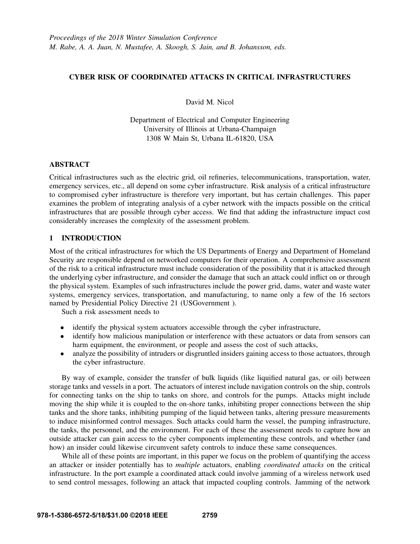## CYBER RISK OF COORDINATED ATTACKS IN CRITICAL INFRASTRUCTURES

David M. Nicol

Department of Electrical and Computer Engineering University of Illinois at Urbana-Champaign 1308 W Main St, Urbana IL-61820, USA

## ABSTRACT

Critical infrastructures such as the electric grid, oil refineries, telecommunications, transportation, water, emergency services, etc., all depend on some cyber infrastructure. Risk analysis of a critical infrastructure to compromised cyber infrastructure is therefore very important, but has certain challenges. This paper examines the problem of integrating analysis of a cyber network with the impacts possible on the critical infrastructures that are possible through cyber access. We find that adding the infrastructure impact cost considerably increases the complexity of the assessment problem.

# 1 INTRODUCTION

Most of the critical infrastructures for which the US Departments of Energy and Department of Homeland Security are responsible depend on networked computers for their operation. A comprehensive assessment of the risk to a critical infrastructure must include consideration of the possibility that it is attacked through the underlying cyber infrastructure, and consider the damage that such an attack could inflict on or through the physical system. Examples of such infrastructures include the power grid, dams, water and waste water systems, emergency services, transportation, and manufacturing, to name only a few of the 16 sectors named by Presidential Policy Directive 21 (USGovernment ).

Such a risk assessment needs to

- identify the physical system actuators accessible through the cyber infrastructure,
- identify how malicious manipulation or interference with these actuators or data from sensors can harm equipment, the environment, or people and assess the cost of such attacks,
- analyze the possibility of intruders or disgruntled insiders gaining access to those actuators, through the cyber infrastructure.

By way of example, consider the transfer of bulk liquids (like liquified natural gas, or oil) between storage tanks and vessels in a port. The actuators of interest include navigation controls on the ship, controls for connecting tanks on the ship to tanks on shore, and controls for the pumps. Attacks might include moving the ship while it is coupled to the on-shore tanks, inhibiting proper connections between the ship tanks and the shore tanks, inhibiting pumping of the liquid between tanks, altering pressure measurements to induce misinformed control messages. Such attacks could harm the vessel, the pumping infrastructure, the tanks, the personnel, and the environment. For each of these the assessment needs to capture how an outside attacker can gain access to the cyber components implementing these controls, and whether (and how) an insider could likewise circumvent safety controls to induce these same consequences.

While all of these points are important, in this paper we focus on the problem of quantifying the access an attacker or insider potentially has to *multiple* actuators, enabling *coordinated attacks* on the critical infrastructure. In the port example a coordinated attack could involve jamming of a wireless network used to send control messages, following an attack that impacted coupling controls. Jamming of the network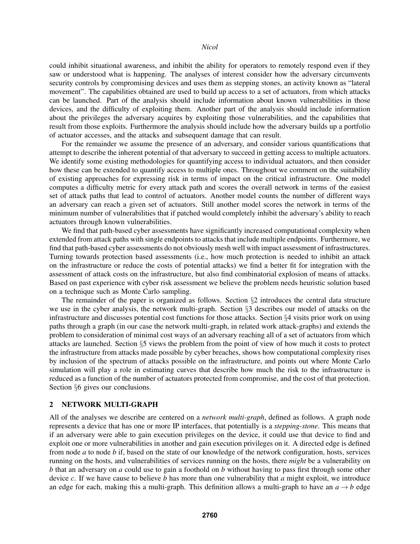could inhibit situational awareness, and inhibit the ability for operators to remotely respond even if they saw or understood what is happening. The analyses of interest consider how the adversary circumvents security controls by compromising devices and uses them as stepping stones, an activity known as "lateral movement". The capabilities obtained are used to build up access to a set of actuators, from which attacks can be launched. Part of the analysis should include information about known vulnerabilities in those devices, and the difficulty of exploiting them. Another part of the analysis should include information about the privileges the adversary acquires by exploiting those vulnerabilities, and the capabilities that result from those exploits. Furthermore the analysis should include how the adversary builds up a portfolio of actuator accesses, and the attacks and subsequent damage that can result.

For the remainder we assume the presence of an adversary, and consider various quantifications that attempt to describe the inherent potential of that adversary to succeed in getting access to multiple actuators. We identify some existing methodologies for quantifying access to individual actuators, and then consider how these can be extended to quantify access to multiple ones. Throughout we comment on the suitability of existing approaches for expressing risk in terms of impact on the critical infrastructure. One model computes a difficulty metric for every attack path and scores the overall network in terms of the easiest set of attack paths that lead to control of actuators. Another model counts the number of different ways an adversary can reach a given set of actuators. Still another model scores the network in terms of the minimum number of vulnerabilities that if patched would completely inhibit the adversary's ability to reach actuators through known vulnerabilities.

We find that path-based cyber assessments have significantly increased computational complexity when extended from attack paths with single endpoints to attacks that include multiple endpoints. Furthermore, we find that path-based cyber assessments do not obviously mesh well with impact assessment of infrastructures. Turning towards protection based assessments (i.e., how much protection is needed to inhibit an attack on the infrastructure or reduce the costs of potential attacks) we find a better fit for integration with the assessment of attack costs on the infrastructure, but also find combinatorial explosion of means of attacks. Based on past experience with cyber risk assessment we believe the problem needs heuristic solution based on a technique such as Monte Carlo sampling.

The remainder of the paper is organized as follows. Section  $\S2$  introduces the central data structure we use in the cyber analysis, the network multi-graph. Section §3 describes our model of attacks on the infrastructure and discusses potential cost functions for those attacks. Section §4 visits prior work on using paths through a graph (in our case the network multi-graph, in related work attack-graphs) and extends the problem to consideration of minimal cost ways of an adversary reaching all of a set of actuators from which attacks are launched. Section §5 views the problem from the point of view of how much it costs to protect the infrastructure from attacks made possible by cyber breaches, shows how computational complexity rises by inclusion of the spectrum of attacks possible on the infrastructure, and points out where Monte Carlo simulation will play a role in estimating curves that describe how much the risk to the infrastructure is reduced as a function of the number of actuators protected from compromise, and the cost of that protection. Section §6 gives our conclusions.

### 2 NETWORK MULTI-GRAPH

All of the analyses we describe are centered on a *network multi-graph*, defined as follows. A graph node represents a device that has one or more IP interfaces, that potentially is a *stepping-stone*. This means that if an adversary were able to gain execution privileges on the device, it could use that device to find and exploit one or more vulnerabilities in another and gain execution privileges on it. A directed edge is defined from node *a* to node *b* if, based on the state of our knowledge of the network configuration, hosts, services running on the hosts, and vulnerabilities of services running on the hosts, there *might* be a vulnerability on *b* that an adversary on *a* could use to gain a foothold on *b* without having to pass first through some other device *c*. If we have cause to believe *b* has more than one vulnerability that *a* might exploit, we introduce an edge for each, making this a multi-graph. This definition allows a multi-graph to have an  $a \rightarrow b$  edge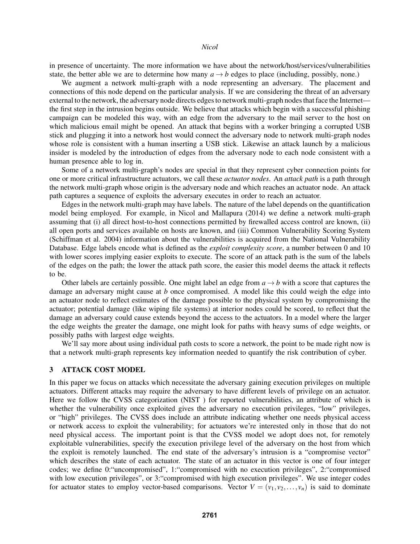in presence of uncertainty. The more information we have about the network/host/services/vulnerabilities state, the better able we are to determine how many  $a \rightarrow b$  edges to place (including, possibly, none.)

We augment a network multi-graph with a node representing an adversary. The placement and connections of this node depend on the particular analysis. If we are considering the threat of an adversary external to the network, the adversary node directs edges to network multi-graph nodes that face the Internet the first step in the intrusion begins outside. We believe that attacks which begin with a successful phishing campaign can be modeled this way, with an edge from the adversary to the mail server to the host on which malicious email might be opened. An attack that begins with a worker bringing a corrupted USB stick and plugging it into a network host would connect the adversary node to network multi-graph nodes whose role is consistent with a human inserting a USB stick. Likewise an attack launch by a malicious insider is modeled by the introduction of edges from the adversary node to each node consistent with a human presence able to log in.

Some of a network multi-graph's nodes are special in that they represent cyber connection points for one or more critical infrastructure actuators, we call these *actuator nodes*. An *attack path* is a path through the network multi-graph whose origin is the adversary node and which reaches an actuator node. An attack path captures a sequence of exploits the adversary executes in order to reach an actuator.

Edges in the network multi-graph may have labels. The nature of the label depends on the quantification model being employed. For example, in Nicol and Mallapura (2014) we define a network multi-graph assuming that (i) all direct host-to-host connections permitted by firewalled access control are known, (ii) all open ports and services available on hosts are known, and (iii) Common Vulnerability Scoring System (Schiffman et al. 2004) information about the vulnerabilities is acquired from the National Vulnerability Database. Edge labels encode what is defined as the *exploit complexity score*, a number between 0 and 10 with lower scores implying easier exploits to execute. The score of an attack path is the sum of the labels of the edges on the path; the lower the attack path score, the easier this model deems the attack it reflects to be.

Other labels are certainly possible. One might label an edge from  $a \rightarrow b$  with a score that captures the damage an adversary might cause at *b* once compromised. A model like this could weigh the edge into an actuator node to reflect estimates of the damage possible to the physical system by compromising the actuator; potential damage (like wiping file systems) at interior nodes could be scored, to reflect that the damage an adversary could cause extends beyond the access to the actuators. In a model where the larger the edge weights the greater the damage, one might look for paths with heavy sums of edge weights, or possibly paths with largest edge weights.

We'll say more about using individual path costs to score a network, the point to be made right now is that a network multi-graph represents key information needed to quantify the risk contribution of cyber.

### 3 ATTACK COST MODEL

In this paper we focus on attacks which necessitate the adversary gaining execution privileges on multiple actuators. Different attacks may require the adversary to have different levels of privilege on an actuator. Here we follow the CVSS categorization (NIST ) for reported vulnerabilities, an attribute of which is whether the vulnerability once exploited gives the adversary no execution privileges, "low" privileges, or "high" privileges. The CVSS does include an attribute indicating whether one needs physical access or network access to exploit the vulnerability; for actuators we're interested only in those that do not need physical access. The important point is that the CVSS model we adopt does not, for remotely exploitable vulnerabilities, specify the execution privilege level of the adversary on the host from which the exploit is remotely launched. The end state of the adversary's intrusion is a "compromise vector" which describes the state of each actuator. The state of an actuator in this vector is one of four integer codes; we define 0:"uncompromised", 1:"compromised with no execution privileges", 2:"compromised with low execution privileges", or 3: "compromised with high execution privileges". We use integer codes for actuator states to employ vector-based comparisons. Vector  $V = (v_1, v_2, \dots, v_n)$  is said to dominate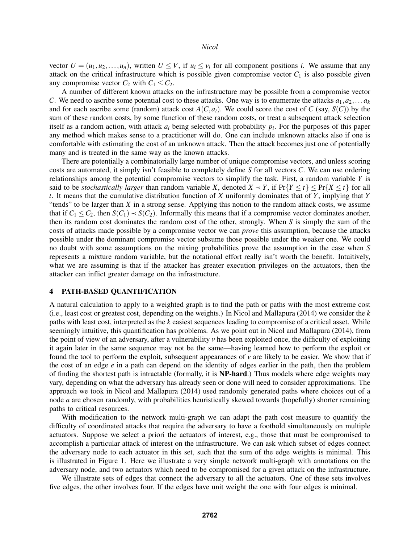vector  $U = (u_1, u_2, \dots, u_n)$ , written  $U \leq V$ , if  $u_i \leq v_i$  for all component positions *i*. We assume that any attack on the critical infrastructure which is possible given compromise vector  $C_1$  is also possible given any compromise vector  $C_2$  with  $C_1 \le C_2$ .

A number of different known attacks on the infrastructure may be possible from a compromise vector *C*. We need to ascribe some potential cost to these attacks. One way is to enumerate the attacks  $a_1, a_2, \ldots a_k$ and for each ascribe some (random) attack cost  $A(C, a_i)$ . We could score the cost of  $C$  (say,  $S(C)$ ) by the sum of these random costs, by some function of these random costs, or treat a subsequent attack selection itself as a random action, with attack *a<sup>i</sup>* being selected with probability *p<sup>i</sup>* . For the purposes of this paper any method which makes sense to a practitioner will do. One can include unknown attacks also if one is comfortable with estimating the cost of an unknown attack. Then the attack becomes just one of potentially many and is treated in the same way as the known attacks.

There are potentially a combinatorially large number of unique compromise vectors, and unless scoring costs are automated, it simply isn't feasible to completely define *S* for all vectors *C*. We can use ordering relationships among the potential compromise vectors to simplify the task. First, a random variable *Y* is said to be *stochastically larger* than random variable *X*, denoted  $X \prec Y$ , if  $Pr{Y \le t} \le Pr{X \le t}$  for all *t*. It means that the cumulative distribution function of *X* uniformly dominates that of *Y*, implying that *Y* "tends" to be larger than *X* in a strong sense. Applying this notion to the random attack costs, we assume that if  $C_1 \leq C_2$ , then  $S(C_1) \prec S(C_2)$ . Informally this means that if a compromise vector dominates another, then its random cost dominates the random cost of the other, strongly. When *S* is simply the sum of the costs of attacks made possible by a compromise vector we can *prove* this assumption, because the attacks possible under the dominant compromise vector subsume those possible under the weaker one. We could no doubt with some assumptions on the mixing probabilities prove the assumption in the case when *S* represents a mixture random variable, but the notational effort really isn't worth the benefit. Intuitively, what we are assuming is that if the attacker has greater execution privileges on the actuators, then the attacker can inflict greater damage on the infrastructure.

#### 4 PATH-BASED QUANTIFICATION

A natural calculation to apply to a weighted graph is to find the path or paths with the most extreme cost (i.e., least cost or greatest cost, depending on the weights.) In Nicol and Mallapura (2014) we consider the *k* paths with least cost, interpreted as the *k* easiest sequences leading to compromise of a critical asset. While seemingly intuitive, this quantification has problems. As we point out in Nicol and Mallapura (2014), from the point of view of an adversary, after a vulnerability *v* has been exploited once, the difficulty of exploiting it again later in the same sequence may not be the same—having learned how to perform the exploit or found the tool to perform the exploit, subsequent appearances of  $\nu$  are likely to be easier. We show that if the cost of an edge *e* in a path can depend on the identity of edges earlier in the path, then the problem of finding the shortest path is intractable (formally, it is NP-hard.) Thus models where edge weights may vary, depending on what the adversary has already seen or done will need to consider approximations. The approach we took in Nicol and Mallapura (2014) used randomly generated paths where choices out of a node *a* are chosen randomly, with probabilities heuristically skewed towards (hopefully) shorter remaining paths to critical resources.

With modification to the network multi-graph we can adapt the path cost measure to quantify the difficulty of coordinated attacks that require the adversary to have a foothold simultaneously on multiple actuators. Suppose we select a priori the actuators of interest, e.g., those that must be compromised to accomplish a particular attack of interest on the infrastructure. We can ask which subset of edges connect the adversary node to each actuator in this set, such that the sum of the edge weights is minimal. This is illustrated in Figure 1. Here we illustrate a very simple network multi-graph with annotations on the adversary node, and two actuators which need to be compromised for a given attack on the infrastructure.

We illustrate sets of edges that connect the adversary to all the actuators. One of these sets involves five edges, the other involves four. If the edges have unit weight the one with four edges is minimal.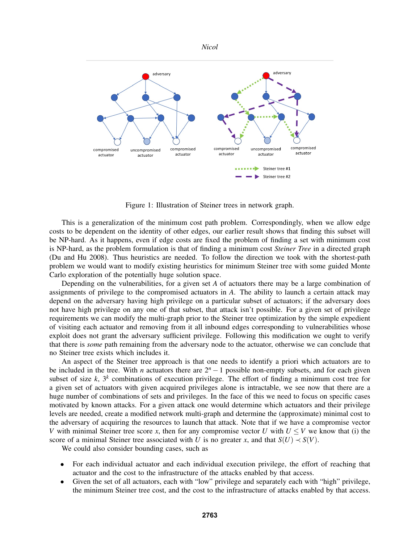

Figure 1: Illustration of Steiner trees in network graph.

This is a generalization of the minimum cost path problem. Correspondingly, when we allow edge costs to be dependent on the identity of other edges, our earlier result shows that finding this subset will be NP-hard. As it happens, even if edge costs are fixed the problem of finding a set with minimum cost is NP-hard, as the problem formulation is that of finding a minimum cost *Steiner Tree* in a directed graph (Du and Hu 2008). Thus heuristics are needed. To follow the direction we took with the shortest-path problem we would want to modify existing heuristics for minimum Steiner tree with some guided Monte Carlo exploration of the potentially huge solution space.

Depending on the vulnerabilities, for a given set *A* of actuators there may be a large combination of assignments of privilege to the compromised actuators in *A*. The ability to launch a certain attack may depend on the adversary having high privilege on a particular subset of actuators; if the adversary does not have high privilege on any one of that subset, that attack isn't possible. For a given set of privilege requirements we can modify the multi-graph prior to the Steiner tree optimization by the simple expedient of visiting each actuator and removing from it all inbound edges corresponding to vulnerabilities whose exploit does not grant the adversary sufficient privilege. Following this modification we ought to verify that there is *some* path remaining from the adversary node to the actuator, otherwise we can conclude that no Steiner tree exists which includes it.

An aspect of the Steiner tree approach is that one needs to identify a priori which actuators are to be included in the tree. With *n* actuators there are 2*<sup>n</sup>* −1 possible non-empty subsets, and for each given subset of size  $k$ ,  $3^k$  combinations of execution privilege. The effort of finding a minimum cost tree for a given set of actuators with given acquired privileges alone is intractable, we see now that there are a huge number of combinations of sets and privileges. In the face of this we need to focus on specific cases motivated by known attacks. For a given attack one would determine which actuators and their privilege levels are needed, create a modified network multi-graph and determine the (approximate) minimal cost to the adversary of acquiring the resources to launch that attack. Note that if we have a compromise vector *V* with minimal Steiner tree score *x*, then for any compromise vector *U* with  $U \leq V$  we know that (i) the score of a minimal Steiner tree associated with *U* is no greater *x*, and that  $S(U) \prec S(V)$ .

We could also consider bounding cases, such as

- For each individual actuator and each individual execution privilege, the effort of reaching that actuator and the cost to the infrastructure of the attacks enabled by that access.
- Given the set of all actuators, each with "low" privilege and separately each with "high" privilege, the minimum Steiner tree cost, and the cost to the infrastructure of attacks enabled by that access.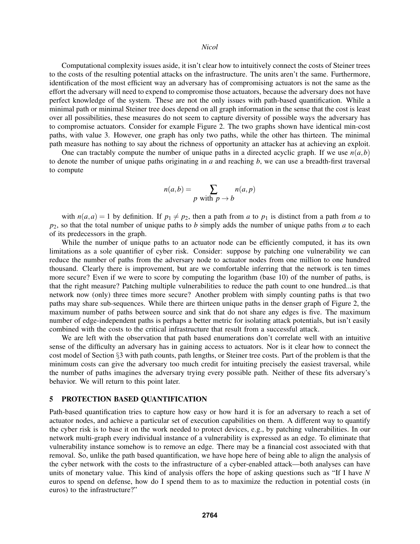Computational complexity issues aside, it isn't clear how to intuitively connect the costs of Steiner trees to the costs of the resulting potential attacks on the infrastructure. The units aren't the same. Furthermore, identification of the most efficient way an adversary has of compromising actuators is not the same as the effort the adversary will need to expend to compromise those actuators, because the adversary does not have perfect knowledge of the system. These are not the only issues with path-based quantification. While a minimal path or minimal Steiner tree does depend on all graph information in the sense that the cost is least over all possibilities, these measures do not seem to capture diversity of possible ways the adversary has to compromise actuators. Consider for example Figure 2. The two graphs shown have identical min-cost paths, with value 3. However, one graph has only two paths, while the other has thirteen. The minimal path measure has nothing to say about the richness of opportunity an attacker has at achieving an exploit.

One can tractably compute the number of unique paths in a directed acyclic graph. If we use  $n(a,b)$ to denote the number of unique paths originating in *a* and reaching *b*, we can use a breadth-first traversal to compute

$$
n(a,b) = \sum_{p \text{ with } p \to b} n(a,p)
$$

with  $n(a,a) = 1$  by definition. If  $p_1 \neq p_2$ , then a path from *a* to  $p_1$  is distinct from *a* path from *a* to *p*2, so that the total number of unique paths to *b* simply adds the number of unique paths from *a* to each of its predecessors in the graph.

While the number of unique paths to an actuator node can be efficiently computed, it has its own limitations as a sole quantifier of cyber risk. Consider: suppose by patching one vulnerability we can reduce the number of paths from the adversary node to actuator nodes from one million to one hundred thousand. Clearly there is improvement, but are we comfortable inferring that the network is ten times more secure? Even if we were to score by computing the logarithm (base 10) of the number of paths, is that the right measure? Patching multiple vulnerabilities to reduce the path count to one hundred...is that network now (only) three times more secure? Another problem with simply counting paths is that two paths may share sub-sequences. While there are thirteen unique paths in the denser graph of Figure 2, the maximum number of paths between source and sink that do not share any edges is five. The maximum number of edge-independent paths is perhaps a better metric for isolating attack potentials, but isn't easily combined with the costs to the critical infrastructure that result from a successful attack.

We are left with the observation that path based enumerations don't correlate well with an intuitive sense of the difficulty an adversary has in gaining access to actuators. Nor is it clear how to connect the cost model of Section §3 with path counts, path lengths, or Steiner tree costs. Part of the problem is that the minimum costs can give the adversary too much credit for intuiting precisely the easiest traversal, while the number of paths imagines the adversary trying every possible path. Neither of these fits adversary's behavior. We will return to this point later.

#### 5 PROTECTION BASED QUANTIFICATION

Path-based quantification tries to capture how easy or how hard it is for an adversary to reach a set of actuator nodes, and achieve a particular set of execution capabilities on them. A different way to quantify the cyber risk is to base it on the work needed to protect devices, e.g., by patching vulnerabilities. In our network multi-graph every individual instance of a vulnerability is expressed as an edge. To eliminate that vulnerability instance somehow is to remove an edge. There may be a financial cost associated with that removal. So, unlike the path based quantification, we have hope here of being able to align the analysis of the cyber network with the costs to the infrastructure of a cyber-enabled attack—both analyses can have units of monetary value. This kind of analysis offers the hope of asking questions such as "If I have *N* euros to spend on defense, how do I spend them to as to maximize the reduction in potential costs (in euros) to the infrastructure?"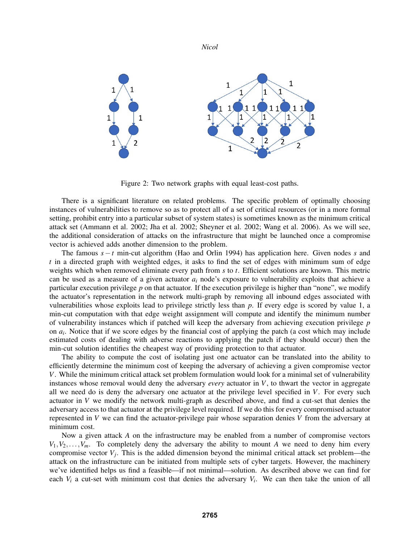

Figure 2: Two network graphs with equal least-cost paths.

There is a significant literature on related problems. The specific problem of optimally choosing instances of vulnerabilities to remove so as to protect all of a set of critical resources (or in a more formal setting, prohibit entry into a particular subset of system states) is sometimes known as the minimum critical attack set (Ammann et al. 2002; Jha et al. 2002; Sheyner et al. 2002; Wang et al. 2006). As we will see, the additional consideration of attacks on the infrastructure that might be launched once a compromise vector is achieved adds another dimension to the problem.

The famous *s*−*t* min-cut algorithm (Hao and Orlin 1994) has application here. Given nodes *s* and *t* in a directed graph with weighted edges, it asks to find the set of edges with minimum sum of edge weights which when removed eliminate every path from *s* to *t*. Efficient solutions are known. This metric can be used as a measure of a given actuator *a<sup>i</sup>* node's exposure to vulnerability exploits that achieve a particular execution privilege *p* on that actuator. If the execution privilege is higher than "none", we modify the actuator's representation in the network multi-graph by removing all inbound edges associated with vulnerabilities whose exploits lead to privilege strictly less than *p*. If every edge is scored by value 1, a min-cut computation with that edge weight assignment will compute and identify the minimum number of vulnerability instances which if patched will keep the adversary from achieving execution privilege *p* on *a<sup>i</sup>* . Notice that if we score edges by the financial cost of applying the patch (a cost which may include estimated costs of dealing with adverse reactions to applying the patch if they should occur) then the min-cut solution identifies the cheapest way of providing protection to that actuator.

The ability to compute the cost of isolating just one actuator can be translated into the ability to efficiently determine the minimum cost of keeping the adversary of achieving a given compromise vector *V*. While the minimum critical attack set problem formulation would look for a minimal set of vulnerability instances whose removal would deny the adversary *every* actuator in *V*, to thwart the vector in aggregate all we need do is deny the adversary one actuator at the privilege level specified in *V*. For every such actuator in *V* we modify the network multi-graph as described above, and find a cut-set that denies the adversary access to that actuator at the privilege level required. If we do this for every compromised actuator represented in *V* we can find the actuator-privilege pair whose separation denies *V* from the adversary at minimum cost.

Now a given attack *A* on the infrastructure may be enabled from a number of compromise vectors  $V_1, V_2, \ldots, V_m$ . To completely deny the adversary the ability to mount *A* we need to deny him every compromise vector *V<sup>j</sup>* . This is the added dimension beyond the minimal critical attack set problem—the attack on the infrastructure can be initiated from multiple sets of cyber targets. However, the machinery we've identified helps us find a feasible—if not minimal—solution. As described above we can find for each  $V_i$  a cut-set with minimum cost that denies the adversary  $V_i$ . We can then take the union of all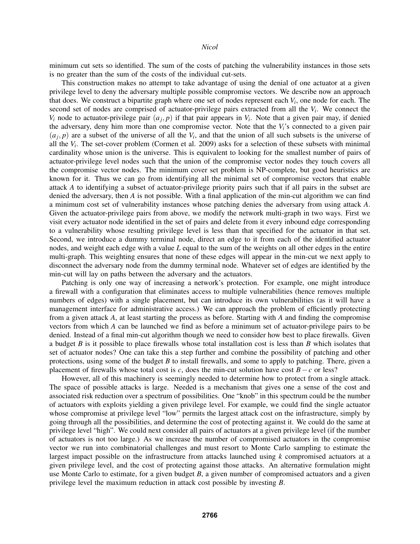minimum cut sets so identified. The sum of the costs of patching the vulnerability instances in those sets is no greater than the sum of the costs of the individual cut-sets.

This construction makes no attempt to take advantage of using the denial of one actuator at a given privilege level to deny the adversary multiple possible compromise vectors. We describe now an approach that does. We construct a bipartite graph where one set of nodes represent each *V<sup>i</sup>* , one node for each. The second set of nodes are comprised of actuator-privilege pairs extracted from all the *V<sup>i</sup>* . We connect the  $V_i$  node to actuator-privilege pair  $(a_j, p)$  if that pair appears in  $V_i$ . Note that a given pair may, if denied the adversary, deny him more than one compromise vector. Note that the *Vi*'s connected to a given pair  $(a_j, p)$  are a subset of the universe of all the  $V_i$ , and that the union of all such subsets is the universe of all the  $V_i$ . The set-cover problem (Cormen et al. 2009) asks for a selection of these subsets with minimal cardinality whose union is the universe. This is equivalent to looking for the smallest number of pairs of actuator-privilege level nodes such that the union of the compromise vector nodes they touch covers all the compromise vector nodes. The minimum cover set problem is NP-complete, but good heuristics are known for it. Thus we can go from identifying all the minimal set of compromise vectors that enable attack *A* to identifying a subset of actuator-privilege priority pairs such that if all pairs in the subset are denied the adversary, then *A* is not possible. With a final application of the min-cut algorithm we can find a minimum cost set of vulnerability instances whose patching denies the adversary from using attack *A*. Given the actuator-privilege pairs from above, we modify the network multi-graph in two ways. First we visit every actuator node identified in the set of pairs and delete from it every inbound edge corresponding to a vulnerability whose resulting privilege level is less than that specified for the actuator in that set. Second, we introduce a dummy terminal node, direct an edge to it from each of the identified actuator nodes, and weight each edge with a value *L* equal to the sum of the weights on all other edges in the entire multi-graph. This weighting ensures that none of these edges will appear in the min-cut we next apply to disconnect the adversary node from the dummy terminal node. Whatever set of edges are identified by the min-cut will lay on paths between the adversary and the actuators.

Patching is only one way of increasing a network's protection. For example, one might introduce a firewall with a configuration that eliminates access to multiple vulnerabilities (hence removes multiple numbers of edges) with a single placement, but can introduce its own vulnerabilities (as it will have a management interface for administrative access.) We can approach the problem of efficiently protecting from a given attack *A*, at least starting the process as before. Starting with *A* and finding the compromise vectors from which *A* can be launched we find as before a minimum set of actuator-privilege pairs to be denied. Instead of a final min-cut algorithm though we need to consider how best to place firewalls. Given a budget *B* is it possible to place firewalls whose total installation cost is less than *B* which isolates that set of actuator nodes? One can take this a step further and combine the possibility of patching and other protections, using some of the budget *B* to install firewalls, and some to apply to patching. There, given a placement of firewalls whose total cost is *c*, does the min-cut solution have cost  $B - c$  or less?

However, all of this machinery is seemingly needed to determine how to protect from a single attack. The space of possible attacks is large. Needed is a mechanism that gives one a sense of the cost and associated risk reduction over a spectrum of possibilities. One "knob" in this spectrum could be the number of actuators with exploits yielding a given privilege level. For example, we could find the single actuator whose compromise at privilege level "low" permits the largest attack cost on the infrastructure, simply by going through all the possibilities, and determine the cost of protecting against it. We could do the same at privilege level "high". We could next consider all pairs of actuators at a given privilege level (if the number of actuators is not too large.) As we increase the number of compromised actuators in the compromise vector we run into combinatorial challenges and must resort to Monte Carlo sampling to estimate the largest impact possible on the infrastructure from attacks launched using *k* compromised actuators at a given privilege level, and the cost of protecting against those attacks. An alternative formulation might use Monte Carlo to estimate, for a given budget *B*, a given number of compromised actuators and a given privilege level the maximum reduction in attack cost possible by investing *B*.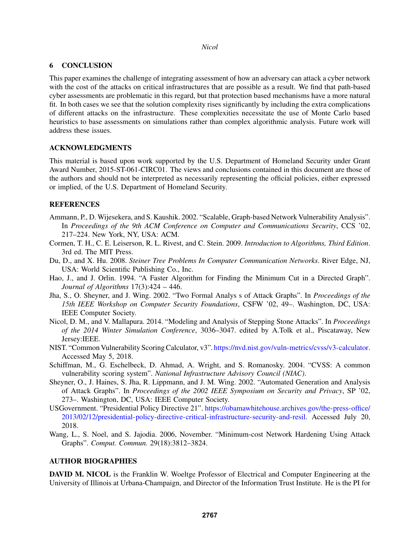## 6 CONCLUSION

This paper examines the challenge of integrating assessment of how an adversary can attack a cyber network with the cost of the attacks on critical infrastructures that are possible as a result. We find that path-based cyber assessments are problematic in this regard, but that protection based mechanisms have a more natural fit. In both cases we see that the solution complexity rises significantly by including the extra complications of different attacks on the infrastructure. These complexities necessitate the use of Monte Carlo based heuristics to base assessments on simulations rather than complex algorithmic analysis. Future work will address these issues.

# ACKNOWLEDGMENTS

This material is based upon work supported by the U.S. Department of Homeland Security under Grant Award Number, 2015-ST-061-CIRC01. The views and conclusions contained in this document are those of the authors and should not be interpreted as necessarily representing the official policies, either expressed or implied, of the U.S. Department of Homeland Security.

## REFERENCES

- Ammann, P., D. Wijesekera, and S. Kaushik. 2002. "Scalable, Graph-based Network Vulnerability Analysis". In *Proceedings of the 9th ACM Conference on Computer and Communications Security*, CCS '02, 217–224. New York, NY, USA: ACM.
- Cormen, T. H., C. E. Leiserson, R. L. Rivest, and C. Stein. 2009. *Introduction to Algorithms, Third Edition*. 3rd ed. The MIT Press.
- Du, D., and X. Hu. 2008. *Steiner Tree Problems In Computer Communication Networks*. River Edge, NJ, USA: World Scientific Publishing Co., Inc.
- Hao, J., and J. Orlin. 1994. "A Faster Algorithm for Finding the Minimum Cut in a Directed Graph". *Journal of Algorithms* 17(3):424 – 446.
- Jha, S., O. Sheyner, and J. Wing. 2002. "Two Formal Analys s of Attack Graphs". In *Proceedings of the 15th IEEE Workshop on Computer Security Foundations*, CSFW '02, 49–. Washington, DC, USA: IEEE Computer Society.
- Nicol, D. M., and V. Mallapura. 2014. "Modeling and Analysis of Stepping Stone Attacks". In *Proceedings of the 2014 Winter Simulation Conference*, 3036–3047. edited by A.Tolk et al., Piscataway, New Jersey:IEEE.
- NIST. "Common Vulnerability Scoring Calculator, v3". https://nvd.nist.gov/vuln-metrics/cvss/v3-calculator. Accessed May 5, 2018.
- Schiffman, M., G. Eschelbeck, D. Ahmad, A. Wright, and S. Romanosky. 2004. "CVSS: A common vulnerability scoring system". *National Infrastructure Advisory Council (NIAC)*.
- Sheyner, O., J. Haines, S. Jha, R. Lippmann, and J. M. Wing. 2002. "Automated Generation and Analysis of Attack Graphs". In *Proceedings of the 2002 IEEE Symposium on Security and Privacy*, SP '02, 273–. Washington, DC, USA: IEEE Computer Society.
- USGovernment. "Presidential Policy Directive 21". https://obamawhitehouse.archives.gov/the-press-office/ 2013/02/12/presidential-policy-directive-critical-infrastructure-security-and-resil. Accessed July 20, 2018.
- Wang, L., S. Noel, and S. Jajodia. 2006, November. "Minimum-cost Network Hardening Using Attack Graphs". *Comput. Commun.* 29(18):3812–3824.

# AUTHOR BIOGRAPHIES

DAVID M. NICOL is the Franklin W. Woeltge Professor of Electrical and Computer Engineering at the University of Illinois at Urbana-Champaign, and Director of the Information Trust Institute. He is the PI for